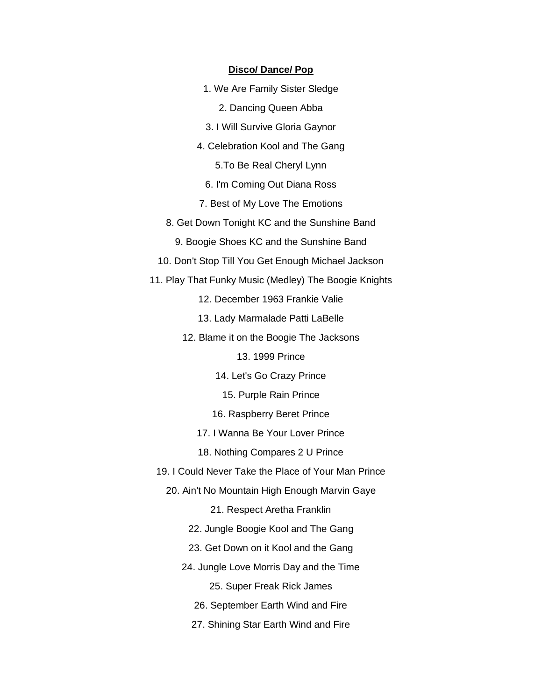#### **Disco/ Dance/ Pop**

- 1. We Are Family Sister Sledge
	- 2. Dancing Queen Abba
- 3. I Will Survive Gloria Gaynor
- 4. Celebration Kool and The Gang
	- 5.To Be Real Cheryl Lynn
	- 6. I'm Coming Out Diana Ross
- 7. Best of My Love The Emotions
- 8. Get Down Tonight KC and the Sunshine Band
	- 9. Boogie Shoes KC and the Sunshine Band
- 10. Don't Stop Till You Get Enough Michael Jackson
- 11. Play That Funky Music (Medley) The Boogie Knights
	- 12. December 1963 Frankie Valie
	- 13. Lady Marmalade Patti LaBelle
	- 12. Blame it on the Boogie The Jacksons
		- 13. 1999 Prince
		- 14. Let's Go Crazy Prince
			- 15. Purple Rain Prince
		- 16. Raspberry Beret Prince
		- 17. I Wanna Be Your Lover Prince
		- 18. Nothing Compares 2 U Prince
	- 19. I Could Never Take the Place of Your Man Prince
		- 20. Ain't No Mountain High Enough Marvin Gaye
			- 21. Respect Aretha Franklin
			- 22. Jungle Boogie Kool and The Gang
			- 23. Get Down on it Kool and the Gang
			- 24. Jungle Love Morris Day and the Time
				- 25. Super Freak Rick James
				- 26. September Earth Wind and Fire
				- 27. Shining Star Earth Wind and Fire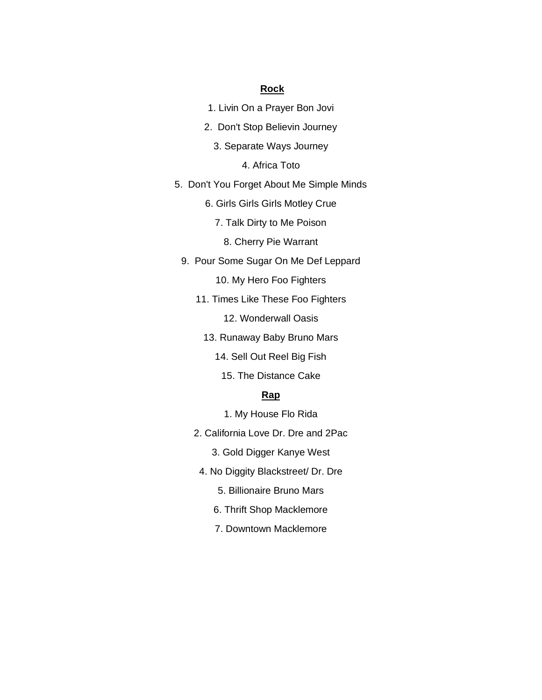## **Rock**

- 1. Livin On a Prayer Bon Jovi
- 2. Don't Stop Believin Journey
	- 3. Separate Ways Journey

4. Africa Toto

- 5. Don't You Forget About Me Simple Minds
	- 6. Girls Girls Girls Motley Crue
		- 7. Talk Dirty to Me Poison
			- 8. Cherry Pie Warrant
	- 9. Pour Some Sugar On Me Def Leppard
		- 10. My Hero Foo Fighters
		- 11. Times Like These Foo Fighters

12. Wonderwall Oasis

- 13. Runaway Baby Bruno Mars
	- 14. Sell Out Reel Big Fish
		- 15. The Distance Cake

# **Rap**

- 1. My House Flo Rida
- 2. California Love Dr. Dre and 2Pac
	- 3. Gold Digger Kanye West
- 4. No Diggity Blackstreet/ Dr. Dre
	- 5. Billionaire Bruno Mars
	- 6. Thrift Shop Macklemore
	- 7. Downtown Macklemore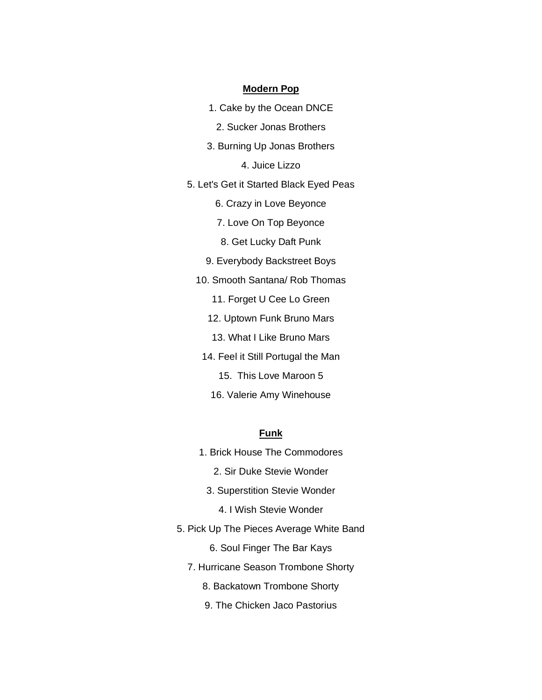#### **Modern Pop**

- 1. Cake by the Ocean DNCE
	- 2. Sucker Jonas Brothers
- 3. Burning Up Jonas Brothers

4. Juice Lizzo

- 5. Let's Get it Started Black Eyed Peas
	- 6. Crazy in Love Beyonce
	- 7. Love On Top Beyonce
	- 8. Get Lucky Daft Punk
	- 9. Everybody Backstreet Boys
	- 10. Smooth Santana/ Rob Thomas
		- 11. Forget U Cee Lo Green
		- 12. Uptown Funk Bruno Mars
		- 13. What I Like Bruno Mars
		- 14. Feel it Still Portugal the Man
			- 15. This Love Maroon 5
			- 16. Valerie Amy Winehouse

### **Funk**

- 1. Brick House The Commodores
	- 2. Sir Duke Stevie Wonder
	- 3. Superstition Stevie Wonder
		- 4. I Wish Stevie Wonder
- 5. Pick Up The Pieces Average White Band

6. Soul Finger The Bar Kays

- 7. Hurricane Season Trombone Shorty
	- 8. Backatown Trombone Shorty
	- 9. The Chicken Jaco Pastorius